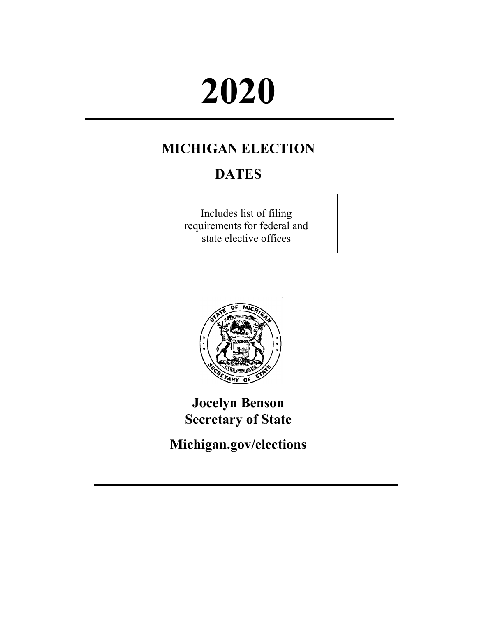# **2020**

# **MICHIGAN ELECTION**

# **DATES**

Includes list of filing requirements for federal and state elective offices



**Jocelyn Benson Secretary of State**

**[Michigan.gov/elections](http://www.michigan.gov/elections)**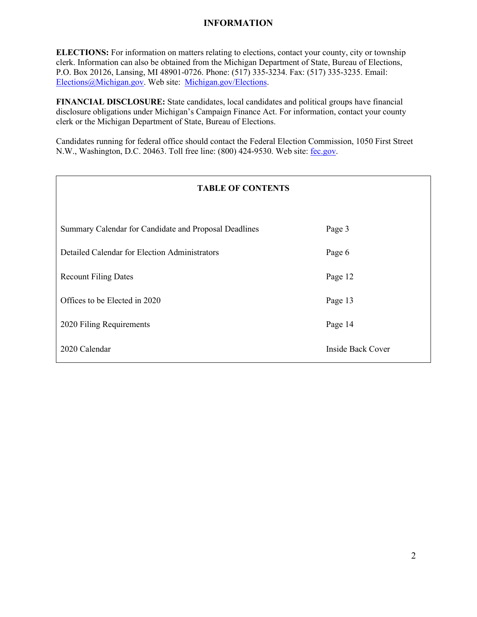#### **INFORMATION**

**ELECTIONS:** For information on matters relating to elections, contact your county, city or township clerk. Information can also be obtained from the Michigan Department of State, Bureau of Elections, P.O. Box 20126, Lansing, MI 48901-0726. Phone: (517) 335-3234. Fax: (517) 335-3235. Email: [Elections@Michigan.gov.](mailto:Elections@Michigan.gov) Web site: [Michigan.gov/Elections.](http://www.michigan.gov/elections)

**FINANCIAL DISCLOSURE:** State candidates, local candidates and political groups have financial disclosure obligations under Michigan's Campaign Finance Act. For information, contact your county clerk or the Michigan Department of State, Bureau of Elections.

Candidates running for federal office should contact the Federal Election Commission, 1050 First Street N.W., Washington, D.C. 20463. Toll free line: (800) 424-9530. Web site: [fec.gov.](http://www.fec.gov/)

| <b>TABLE OF CONTENTS</b>                              |                   |  |  |
|-------------------------------------------------------|-------------------|--|--|
|                                                       |                   |  |  |
| Summary Calendar for Candidate and Proposal Deadlines | Page 3            |  |  |
| Detailed Calendar for Election Administrators         | Page 6            |  |  |
| <b>Recount Filing Dates</b>                           | Page 12           |  |  |
| Offices to be Elected in 2020                         | Page 13           |  |  |
| 2020 Filing Requirements                              | Page 14           |  |  |
| 2020 Calendar                                         | Inside Back Cover |  |  |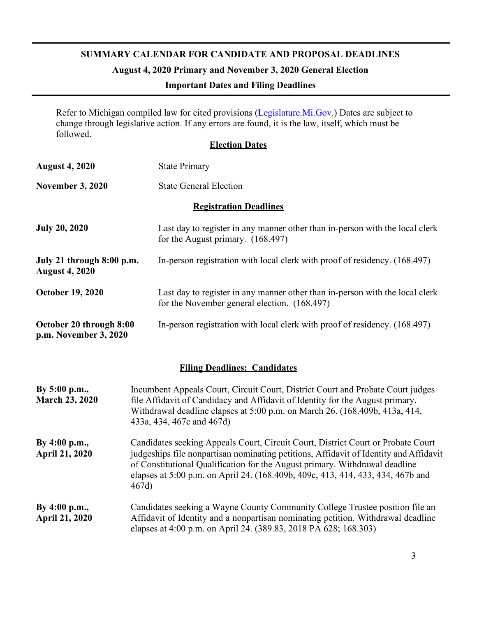#### **SUMMARY CALENDAR FOR CANDIDATE AND PROPOSAL DEADLINES**

## **August 4, 2020 Primary and November 3, 2020 General Election**

#### **Important Dates and Filing Deadlines**

Refer to Michigan compiled law for cited provisions [\(Legislature.Mi.Gov.\)](http://legislature.mi.gov/(S(eecdtj02xjex53gqy1elet5e))/mileg.aspx?page=home) Dates are subject to change through legislative action. If any errors are found, it is the law, itself, which must be followed.

#### **Election Dates**

| <b>August 4, 2020</b>                              | <b>State Primary</b>                                                                                                         |  |
|----------------------------------------------------|------------------------------------------------------------------------------------------------------------------------------|--|
| <b>November 3, 2020</b>                            | <b>State General Election</b>                                                                                                |  |
|                                                    | <b>Registration Deadlines</b>                                                                                                |  |
| <b>July 20, 2020</b>                               | Last day to register in any manner other than in-person with the local clerk<br>for the August primary. $(168.497)$          |  |
| July 21 through 8:00 p.m.<br><b>August 4, 2020</b> | In-person registration with local clerk with proof of residency. (168.497)                                                   |  |
| <b>October 19, 2020</b>                            | Last day to register in any manner other than in-person with the local clerk<br>for the November general election. (168.497) |  |
| October 20 through 8:00<br>p.m. November 3, 2020   | In-person registration with local clerk with proof of residency. (168.497)                                                   |  |

#### **Filing Deadlines: Candidates**

| By $5:00$ p.m.,<br><b>March 23, 2020</b> | Incumbent Appeals Court, Circuit Court, District Court and Probate Court judges<br>file Affidavit of Candidacy and Affidavit of Identity for the August primary.<br>Withdrawal deadline elapses at 5:00 p.m. on March 26. (168.409b, 413a, 414,<br>433a, 434, 467c and 467d)                                                                        |
|------------------------------------------|-----------------------------------------------------------------------------------------------------------------------------------------------------------------------------------------------------------------------------------------------------------------------------------------------------------------------------------------------------|
| By 4:00 p.m.,<br><b>April 21, 2020</b>   | Candidates seeking Appeals Court, Circuit Court, District Court or Probate Court<br>judgeships file nonpartisan nominating petitions, Affidavit of Identity and Affidavit<br>of Constitutional Qualification for the August primary. Withdrawal deadline<br>elapses at 5:00 p.m. on April 24. (168.409b, 409c, 413, 414, 433, 434, 467b and<br>467d |
| By $4:00$ p.m.,<br><b>April 21, 2020</b> | Candidates seeking a Wayne County Community College Trustee position file an<br>Affidavit of Identity and a nonpartisan nominating petition. Withdrawal deadline<br>elapses at 4:00 p.m. on April 24. (389.83, 2018 PA 628; 168.303)                                                                                                                |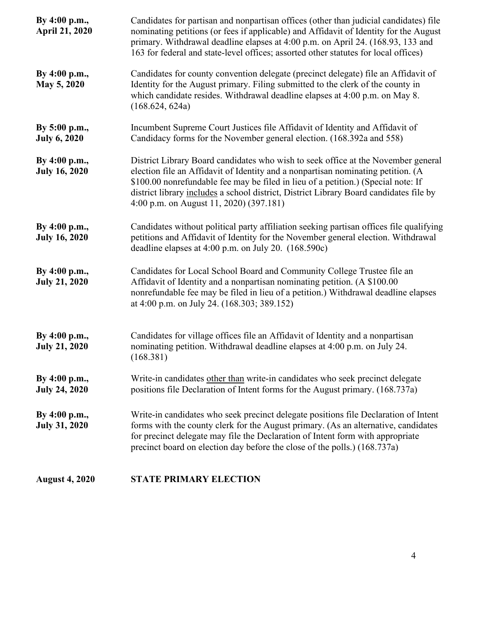| By 4:00 p.m.,<br><b>April 21, 2020</b> | Candidates for partisan and nonpartisan offices (other than judicial candidates) file<br>nominating petitions (or fees if applicable) and Affidavit of Identity for the August<br>primary. Withdrawal deadline elapses at 4:00 p.m. on April 24. (168.93, 133 and<br>163 for federal and state-level offices; assorted other statutes for local offices)                                        |  |  |
|----------------------------------------|-------------------------------------------------------------------------------------------------------------------------------------------------------------------------------------------------------------------------------------------------------------------------------------------------------------------------------------------------------------------------------------------------|--|--|
| By 4:00 p.m.,<br>May 5, 2020           | Candidates for county convention delegate (precinct delegate) file an Affidavit of<br>Identity for the August primary. Filing submitted to the clerk of the county in<br>which candidate resides. Withdrawal deadline elapses at 4:00 p.m. on May 8.<br>(168.624, 624a)                                                                                                                         |  |  |
| By 5:00 p.m.,<br><b>July 6, 2020</b>   | Incumbent Supreme Court Justices file Affidavit of Identity and Affidavit of<br>Candidacy forms for the November general election. (168.392a and 558)                                                                                                                                                                                                                                           |  |  |
| By 4:00 p.m.,<br><b>July 16, 2020</b>  | District Library Board candidates who wish to seek office at the November general<br>election file an Affidavit of Identity and a nonpartisan nominating petition. (A<br>\$100.00 nonrefundable fee may be filed in lieu of a petition.) (Special note: If<br>district library includes a school district, District Library Board candidates file by<br>4:00 p.m. on August 11, 2020) (397.181) |  |  |
| By 4:00 p.m.,<br><b>July 16, 2020</b>  | Candidates without political party affiliation seeking partisan offices file qualifying<br>petitions and Affidavit of Identity for the November general election. Withdrawal<br>deadline elapses at 4:00 p.m. on July 20. (168.590c)                                                                                                                                                            |  |  |
| By 4:00 p.m.,<br><b>July 21, 2020</b>  | Candidates for Local School Board and Community College Trustee file an<br>Affidavit of Identity and a nonpartisan nominating petition. (A \$100.00<br>nonrefundable fee may be filed in lieu of a petition.) Withdrawal deadline elapses<br>at 4:00 p.m. on July 24. (168.303; 389.152)                                                                                                        |  |  |
| By 4:00 p.m.,<br><b>July 21, 2020</b>  | Candidates for village offices file an Affidavit of Identity and a nonpartisan<br>nominating petition. Withdrawal deadline elapses at 4:00 p.m. on July 24.<br>(168.381)                                                                                                                                                                                                                        |  |  |
| By 4:00 p.m.,<br><b>July 24, 2020</b>  | Write-in candidates other than write-in candidates who seek precinct delegate<br>positions file Declaration of Intent forms for the August primary. (168.737a)                                                                                                                                                                                                                                  |  |  |
| By 4:00 p.m.,<br><b>July 31, 2020</b>  | Write-in candidates who seek precinct delegate positions file Declaration of Intent<br>forms with the county clerk for the August primary. (As an alternative, candidates<br>for precinct delegate may file the Declaration of Intent form with appropriate<br>precinct board on election day before the close of the polls.) (168.737a)                                                        |  |  |
| <b>August 4, 2020</b>                  | <b>STATE PRIMARY ELECTION</b>                                                                                                                                                                                                                                                                                                                                                                   |  |  |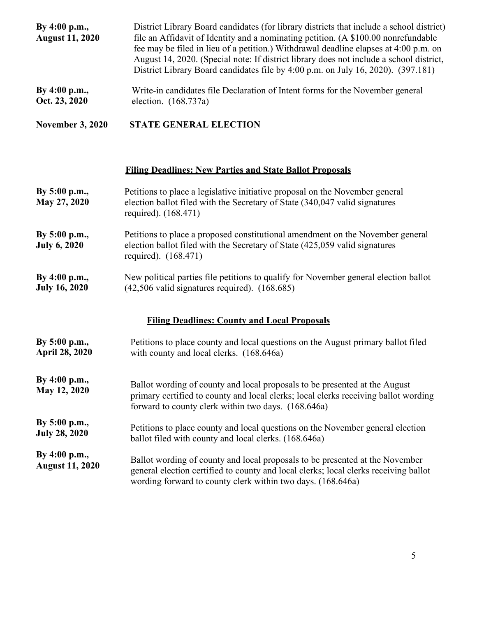| By 4:00 p.m.,<br><b>August 11, 2020</b>  | District Library Board candidates (for library districts that include a school district)<br>file an Affidavit of Identity and a nominating petition. (A \$100.00 nonrefundable<br>fee may be filed in lieu of a petition.) Withdrawal deadline elapses at 4:00 p.m. on<br>August 14, 2020. (Special note: If district library does not include a school district,<br>District Library Board candidates file by 4:00 p.m. on July 16, 2020). (397.181) |  |  |
|------------------------------------------|-------------------------------------------------------------------------------------------------------------------------------------------------------------------------------------------------------------------------------------------------------------------------------------------------------------------------------------------------------------------------------------------------------------------------------------------------------|--|--|
| By 4:00 p.m.,<br>Oct. 23, 2020           | Write-in candidates file Declaration of Intent forms for the November general<br>election. (168.737a)                                                                                                                                                                                                                                                                                                                                                 |  |  |
| <b>November 3, 2020</b>                  | <b>STATE GENERAL ELECTION</b>                                                                                                                                                                                                                                                                                                                                                                                                                         |  |  |
|                                          | <b>Filing Deadlines: New Parties and State Ballot Proposals</b>                                                                                                                                                                                                                                                                                                                                                                                       |  |  |
| By 5:00 p.m.,<br>May 27, 2020            | Petitions to place a legislative initiative proposal on the November general<br>election ballot filed with the Secretary of State (340,047 valid signatures<br>required). (168.471)                                                                                                                                                                                                                                                                   |  |  |
| By 5:00 p.m.,<br><b>July 6, 2020</b>     | Petitions to place a proposed constitutional amendment on the November general<br>election ballot filed with the Secretary of State (425,059 valid signatures<br>required). (168.471)                                                                                                                                                                                                                                                                 |  |  |
| By 4:00 p.m.,<br><b>July 16, 2020</b>    | New political parties file petitions to qualify for November general election ballot<br>$(42,506 \text{ valid signatures required})$ . $(168.685)$                                                                                                                                                                                                                                                                                                    |  |  |
|                                          | <b>Filing Deadlines: County and Local Proposals</b>                                                                                                                                                                                                                                                                                                                                                                                                   |  |  |
| By $5:00$ p.m.,<br><b>April 28, 2020</b> | Petitions to place county and local questions on the August primary ballot filed<br>with county and local clerks. (168.646a)                                                                                                                                                                                                                                                                                                                          |  |  |
| By 4:00 p.m.,<br>May 12, 2020            | Ballot wording of county and local proposals to be presented at the August<br>primary certified to county and local clerks; local clerks receiving ballot wording<br>forward to county clerk within two days. (168.646a)                                                                                                                                                                                                                              |  |  |
| By 5:00 p.m.,<br><b>July 28, 2020</b>    | Petitions to place county and local questions on the November general election<br>ballot filed with county and local clerks. (168.646a)                                                                                                                                                                                                                                                                                                               |  |  |
| By 4:00 p.m.,<br><b>August 11, 2020</b>  | Ballot wording of county and local proposals to be presented at the November<br>general election certified to county and local clerks; local clerks receiving ballot<br>wording forward to county clerk within two days. (168.646a)                                                                                                                                                                                                                   |  |  |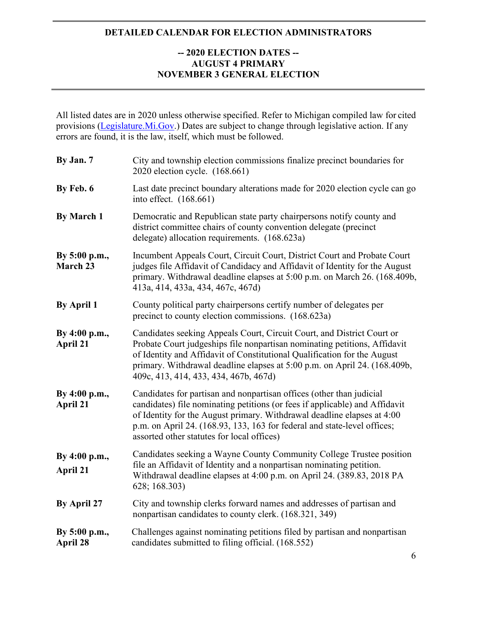#### **DETAILED CALENDAR FOR ELECTION ADMINISTRATORS**

#### **-- 2020 ELECTION DATES -- AUGUST 4 PRIMARY NOVEMBER 3 GENERAL ELECTION**

All listed dates are in 2020 unless otherwise specified. Refer to Michigan compiled law for cited provisions [\(Legislature.Mi.Gov.\)](http://legislature.mi.gov/(S(eecdtj02xjex53gqy1elet5e))/mileg.aspx?page=home) Dates are subject to change through legislative action. If any errors are found, it is the law, itself, which must be followed.

| By Jan. 7                 | City and township election commissions finalize precinct boundaries for<br>2020 election cycle. (168.661)                                                                                                                                                                                                                                                |  |
|---------------------------|----------------------------------------------------------------------------------------------------------------------------------------------------------------------------------------------------------------------------------------------------------------------------------------------------------------------------------------------------------|--|
| By Feb. 6                 | Last date precinct boundary alterations made for 2020 election cycle can go<br>into effect. (168.661)                                                                                                                                                                                                                                                    |  |
| <b>By March 1</b>         | Democratic and Republican state party chairpersons notify county and<br>district committee chairs of county convention delegate (precinct<br>delegate) allocation requirements. (168.623a)                                                                                                                                                               |  |
| By 5:00 p.m.,<br>March 23 | Incumbent Appeals Court, Circuit Court, District Court and Probate Court<br>judges file Affidavit of Candidacy and Affidavit of Identity for the August<br>primary. Withdrawal deadline elapses at 5:00 p.m. on March 26. (168.409b,<br>413a, 414, 433a, 434, 467c, 467d)                                                                                |  |
| <b>By April 1</b>         | County political party chairpersons certify number of delegates per<br>precinct to county election commissions. (168.623a)                                                                                                                                                                                                                               |  |
| By 4:00 p.m.,<br>April 21 | Candidates seeking Appeals Court, Circuit Court, and District Court or<br>Probate Court judgeships file nonpartisan nominating petitions, Affidavit<br>of Identity and Affidavit of Constitutional Qualification for the August<br>primary. Withdrawal deadline elapses at 5:00 p.m. on April 24. (168.409b,<br>409c, 413, 414, 433, 434, 467b, 467d)    |  |
| By 4:00 p.m.,<br>April 21 | Candidates for partisan and nonpartisan offices (other than judicial<br>candidates) file nominating petitions (or fees if applicable) and Affidavit<br>of Identity for the August primary. Withdrawal deadline elapses at 4:00<br>p.m. on April 24. (168.93, 133, 163 for federal and state-level offices;<br>assorted other statutes for local offices) |  |
| By 4:00 p.m.,<br>April 21 | Candidates seeking a Wayne County Community College Trustee position<br>file an Affidavit of Identity and a nonpartisan nominating petition.<br>Withdrawal deadline elapses at 4:00 p.m. on April 24. (389.83, 2018 PA<br>628; 168.303)                                                                                                                  |  |
| By April 27               | City and township clerks forward names and addresses of partisan and<br>nonpartisan candidates to county clerk. (168.321, 349)                                                                                                                                                                                                                           |  |
| By 5:00 p.m.,<br>April 28 | Challenges against nominating petitions filed by partisan and nonpartisan<br>candidates submitted to filing official. (168.552)                                                                                                                                                                                                                          |  |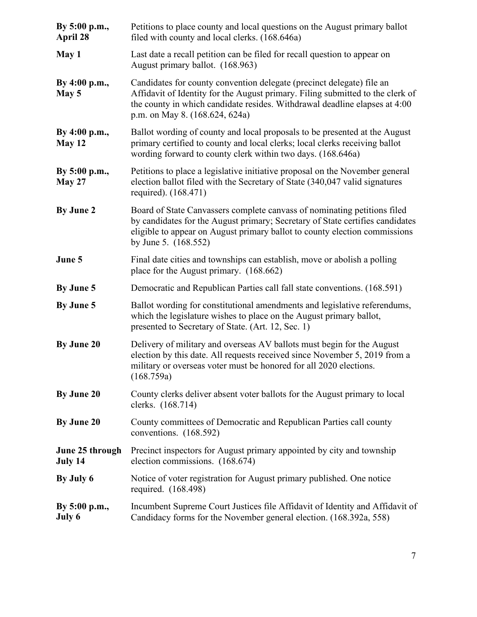| By 5:00 p.m.,<br>April 28      | Petitions to place county and local questions on the August primary ballot<br>filed with county and local clerks. (168.646a)                                                                                                                                            |  |  |
|--------------------------------|-------------------------------------------------------------------------------------------------------------------------------------------------------------------------------------------------------------------------------------------------------------------------|--|--|
| May 1                          | Last date a recall petition can be filed for recall question to appear on<br>August primary ballot. (168.963)                                                                                                                                                           |  |  |
| By 4:00 p.m.,<br>May 5         | Candidates for county convention delegate (precinct delegate) file an<br>Affidavit of Identity for the August primary. Filing submitted to the clerk of<br>the county in which candidate resides. Withdrawal deadline elapses at 4:00<br>p.m. on May 8. (168.624, 624a) |  |  |
| By 4:00 p.m.,<br>May 12        | Ballot wording of county and local proposals to be presented at the August<br>primary certified to county and local clerks; local clerks receiving ballot<br>wording forward to county clerk within two days. (168.646a)                                                |  |  |
| By 5:00 p.m.,<br><b>May 27</b> | Petitions to place a legislative initiative proposal on the November general<br>election ballot filed with the Secretary of State (340,047 valid signatures<br>required). (168.471)                                                                                     |  |  |
| By June 2                      | Board of State Canvassers complete canvass of nominating petitions filed<br>by candidates for the August primary; Secretary of State certifies candidates<br>eligible to appear on August primary ballot to county election commissions<br>by June 5. $(168.552)$       |  |  |
| June 5                         | Final date cities and townships can establish, move or abolish a polling<br>place for the August primary. (168.662)                                                                                                                                                     |  |  |
| By June 5                      | Democratic and Republican Parties call fall state conventions. (168.591)                                                                                                                                                                                                |  |  |
| By June 5                      | Ballot wording for constitutional amendments and legislative referendums,<br>which the legislature wishes to place on the August primary ballot,<br>presented to Secretary of State. (Art. 12, Sec. 1)                                                                  |  |  |
| By June 20                     | Delivery of military and overseas AV ballots must begin for the August<br>election by this date. All requests received since November 5, 2019 from a<br>military or overseas voter must be honored for all 2020 elections.<br>(168.759a)                                |  |  |
| By June 20                     | County clerks deliver absent voter ballots for the August primary to local<br>clerks. (168.714)                                                                                                                                                                         |  |  |
| By June 20                     | County committees of Democratic and Republican Parties call county<br>conventions. (168.592)                                                                                                                                                                            |  |  |
| June 25 through<br>July 14     | Precinct inspectors for August primary appointed by city and township<br>election commissions. (168.674)                                                                                                                                                                |  |  |
| By July 6                      | Notice of voter registration for August primary published. One notice<br>required. (168.498)                                                                                                                                                                            |  |  |
| By 5:00 p.m.,<br>July 6        | Incumbent Supreme Court Justices file Affidavit of Identity and Affidavit of<br>Candidacy forms for the November general election. (168.392a, 558)                                                                                                                      |  |  |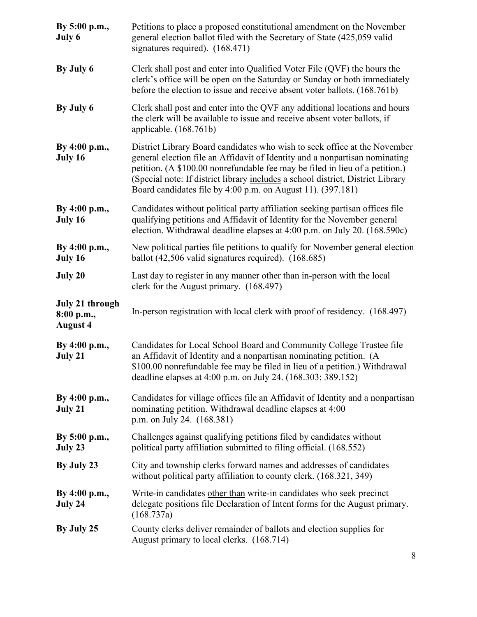| By 5:00 p.m.,<br>July 6                                 | Petitions to place a proposed constitutional amendment on the November<br>general election ballot filed with the Secretary of State (425,059 valid<br>signatures required). (168.471)                                                                                                                                                                                                      |  |
|---------------------------------------------------------|--------------------------------------------------------------------------------------------------------------------------------------------------------------------------------------------------------------------------------------------------------------------------------------------------------------------------------------------------------------------------------------------|--|
| By July 6                                               | Clerk shall post and enter into Qualified Voter File (QVF) the hours the<br>clerk's office will be open on the Saturday or Sunday or both immediately<br>before the election to issue and receive absent voter ballots. (168.761b)                                                                                                                                                         |  |
| By July 6                                               | Clerk shall post and enter into the QVF any additional locations and hours<br>the clerk will be available to issue and receive absent voter ballots, if<br>applicable. $(168.761b)$                                                                                                                                                                                                        |  |
| By 4:00 p.m.,<br>July 16                                | District Library Board candidates who wish to seek office at the November<br>general election file an Affidavit of Identity and a nonpartisan nominating<br>petition. (A \$100.00 nonrefundable fee may be filed in lieu of a petition.)<br>(Special note: If district library includes a school district, District Library<br>Board candidates file by 4:00 p.m. on August 11). (397.181) |  |
| By 4:00 p.m.,<br>July 16                                | Candidates without political party affiliation seeking partisan offices file<br>qualifying petitions and Affidavit of Identity for the November general<br>election. Withdrawal deadline elapses at 4:00 p.m. on July 20. (168.590c)                                                                                                                                                       |  |
| By 4:00 p.m.,<br>July 16                                | New political parties file petitions to qualify for November general election<br>ballot $(42,506 \text{ valid signatures required})$ . $(168.685)$                                                                                                                                                                                                                                         |  |
| July 20                                                 | Last day to register in any manner other than in-person with the local<br>clerk for the August primary. (168.497)                                                                                                                                                                                                                                                                          |  |
| <b>July 21 through</b><br>8:00 p.m.,<br><b>August 4</b> | In-person registration with local clerk with proof of residency. (168.497)                                                                                                                                                                                                                                                                                                                 |  |
| By 4:00 p.m.,<br>July 21                                | Candidates for Local School Board and Community College Trustee file<br>an Affidavit of Identity and a nonpartisan nominating petition. (A<br>\$100.00 nonrefundable fee may be filed in lieu of a petition.) Withdrawal<br>deadline elapses at 4:00 p.m. on July 24. (168.303; 389.152)                                                                                                   |  |
| By 4:00 p.m.,<br>July 21                                | Candidates for village offices file an Affidavit of Identity and a nonpartisan<br>nominating petition. Withdrawal deadline elapses at 4:00<br>p.m. on July 24. (168.381)                                                                                                                                                                                                                   |  |
| By 5:00 p.m.,<br>July 23                                | Challenges against qualifying petitions filed by candidates without<br>political party affiliation submitted to filing official. (168.552)                                                                                                                                                                                                                                                 |  |
| By July 23                                              | City and township clerks forward names and addresses of candidates<br>without political party affiliation to county clerk. (168.321, 349)                                                                                                                                                                                                                                                  |  |
| By 4:00 p.m.,<br>July 24                                | Write-in candidates other than write-in candidates who seek precinct<br>delegate positions file Declaration of Intent forms for the August primary.<br>(168.737a)                                                                                                                                                                                                                          |  |
| By July 25                                              | County clerks deliver remainder of ballots and election supplies for<br>August primary to local clerks. (168.714)                                                                                                                                                                                                                                                                          |  |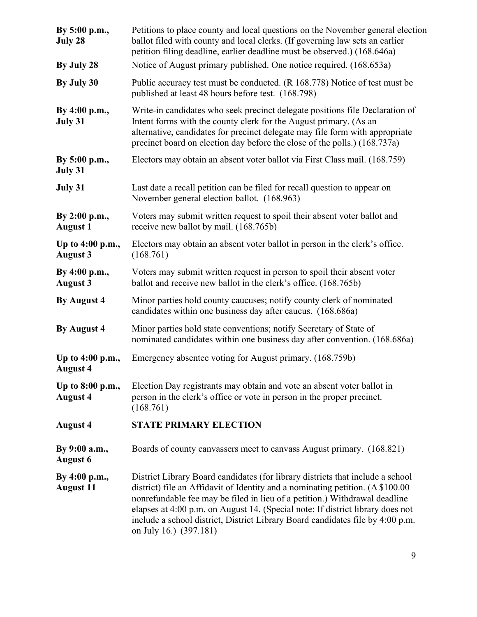| By 5:00 p.m.,<br>July 28            | Petitions to place county and local questions on the November general election<br>ballot filed with county and local clerks. (If governing law sets an earlier<br>petition filing deadline, earlier deadline must be observed.) (168.646a)                                                                                                                                                                                                   |  |  |
|-------------------------------------|----------------------------------------------------------------------------------------------------------------------------------------------------------------------------------------------------------------------------------------------------------------------------------------------------------------------------------------------------------------------------------------------------------------------------------------------|--|--|
| By July 28                          | Notice of August primary published. One notice required. (168.653a)                                                                                                                                                                                                                                                                                                                                                                          |  |  |
| By July 30                          | Public accuracy test must be conducted. (R 168.778) Notice of test must be<br>published at least 48 hours before test. (168.798)                                                                                                                                                                                                                                                                                                             |  |  |
| By 4:00 p.m.,<br>July 31            | Write-in candidates who seek precinct delegate positions file Declaration of<br>Intent forms with the county clerk for the August primary. (As an<br>alternative, candidates for precinct delegate may file form with appropriate<br>precinct board on election day before the close of the polls.) (168.737a)                                                                                                                               |  |  |
| By 5:00 p.m.,<br>July 31            | Electors may obtain an absent voter ballot via First Class mail. (168.759)                                                                                                                                                                                                                                                                                                                                                                   |  |  |
| July 31                             | Last date a recall petition can be filed for recall question to appear on<br>November general election ballot. (168.963)                                                                                                                                                                                                                                                                                                                     |  |  |
| By 2:00 p.m.,<br><b>August 1</b>    | Voters may submit written request to spoil their absent voter ballot and<br>receive new ballot by mail. (168.765b)                                                                                                                                                                                                                                                                                                                           |  |  |
| Up to 4:00 p.m.,<br><b>August 3</b> | Electors may obtain an absent voter ballot in person in the clerk's office.<br>(168.761)                                                                                                                                                                                                                                                                                                                                                     |  |  |
| By 4:00 p.m.,<br><b>August 3</b>    | Voters may submit written request in person to spoil their absent voter<br>ballot and receive new ballot in the clerk's office. (168.765b)                                                                                                                                                                                                                                                                                                   |  |  |
| By August 4                         | Minor parties hold county caucuses; notify county clerk of nominated<br>candidates within one business day after caucus. (168.686a)                                                                                                                                                                                                                                                                                                          |  |  |
| By August 4                         | Minor parties hold state conventions; notify Secretary of State of<br>nominated candidates within one business day after convention. (168.686a)                                                                                                                                                                                                                                                                                              |  |  |
| Up to 4:00 p.m.,<br><b>August 4</b> | Emergency absentee voting for August primary. (168.759b)                                                                                                                                                                                                                                                                                                                                                                                     |  |  |
| Up to 8:00 p.m.,<br><b>August 4</b> | Election Day registrants may obtain and vote an absent voter ballot in<br>person in the clerk's office or vote in person in the proper precinct.<br>(168.761)                                                                                                                                                                                                                                                                                |  |  |
| <b>August 4</b>                     | <b>STATE PRIMARY ELECTION</b>                                                                                                                                                                                                                                                                                                                                                                                                                |  |  |
| By 9:00 a.m.,<br><b>August 6</b>    | Boards of county canvassers meet to canvass August primary. (168.821)                                                                                                                                                                                                                                                                                                                                                                        |  |  |
| By 4:00 p.m.,<br><b>August 11</b>   | District Library Board candidates (for library districts that include a school<br>district) file an Affidavit of Identity and a nominating petition. (A \$100.00<br>nonrefundable fee may be filed in lieu of a petition.) Withdrawal deadline<br>elapses at 4:00 p.m. on August 14. (Special note: If district library does not<br>include a school district, District Library Board candidates file by 4:00 p.m.<br>on July 16.) (397.181) |  |  |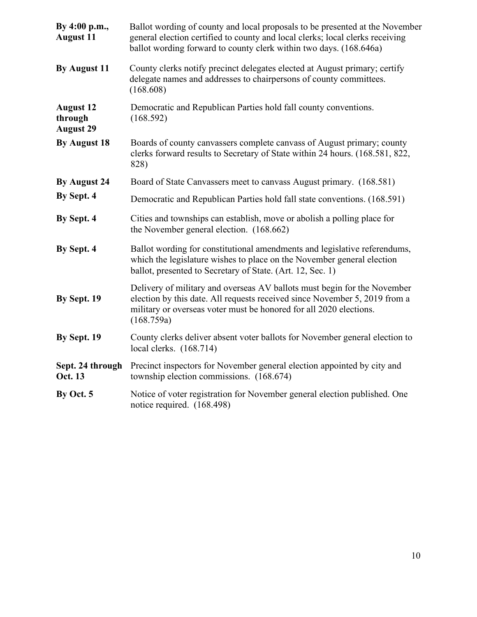| By 4:00 p.m.,<br><b>August 11</b>               | Ballot wording of county and local proposals to be presented at the November<br>general election certified to county and local clerks; local clerks receiving<br>ballot wording forward to county clerk within two days. (168.646a)        |  |  |
|-------------------------------------------------|--------------------------------------------------------------------------------------------------------------------------------------------------------------------------------------------------------------------------------------------|--|--|
| By August 11                                    | County clerks notify precinct delegates elected at August primary; certify<br>delegate names and addresses to chairpersons of county committees.<br>(168.608)                                                                              |  |  |
| <b>August 12</b><br>through<br><b>August 29</b> | Democratic and Republican Parties hold fall county conventions.<br>(168.592)                                                                                                                                                               |  |  |
| By August 18                                    | Boards of county canvassers complete canvass of August primary; county<br>clerks forward results to Secretary of State within 24 hours. (168.581, 822,<br>828)                                                                             |  |  |
| By August 24                                    | Board of State Canvassers meet to canvass August primary. (168.581)                                                                                                                                                                        |  |  |
| By Sept. 4                                      | Democratic and Republican Parties hold fall state conventions. (168.591)                                                                                                                                                                   |  |  |
| By Sept. 4                                      | Cities and townships can establish, move or abolish a polling place for<br>the November general election. (168.662)                                                                                                                        |  |  |
| By Sept. 4                                      | Ballot wording for constitutional amendments and legislative referendums,<br>which the legislature wishes to place on the November general election<br>ballot, presented to Secretary of State. (Art. 12, Sec. 1)                          |  |  |
| By Sept. 19                                     | Delivery of military and overseas AV ballots must begin for the November<br>election by this date. All requests received since November 5, 2019 from a<br>military or overseas voter must be honored for all 2020 elections.<br>(168.759a) |  |  |
| By Sept. 19                                     | County clerks deliver absent voter ballots for November general election to<br>local clerks. $(168.714)$                                                                                                                                   |  |  |
| Sept. 24 through<br>Oct. 13                     | Precinct inspectors for November general election appointed by city and<br>township election commissions. (168.674)                                                                                                                        |  |  |
| By Oct. 5                                       | Notice of voter registration for November general election published. One<br>notice required. (168.498)                                                                                                                                    |  |  |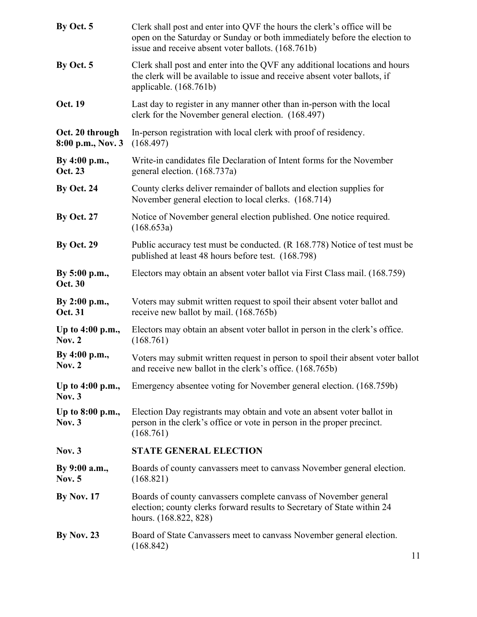| By Oct. 5                            | Clerk shall post and enter into QVF the hours the clerk's office will be<br>open on the Saturday or Sunday or both immediately before the election to<br>issue and receive absent voter ballots. (168.761b) |  |
|--------------------------------------|-------------------------------------------------------------------------------------------------------------------------------------------------------------------------------------------------------------|--|
| By Oct. 5                            | Clerk shall post and enter into the QVF any additional locations and hours<br>the clerk will be available to issue and receive absent voter ballots, if<br>applicable. $(168.761b)$                         |  |
| Oct. 19                              | Last day to register in any manner other than in-person with the local<br>clerk for the November general election. (168.497)                                                                                |  |
| Oct. 20 through<br>8:00 p.m., Nov. 3 | In-person registration with local clerk with proof of residency.<br>(168.497)                                                                                                                               |  |
| By 4:00 p.m.,<br>Oct. 23             | Write-in candidates file Declaration of Intent forms for the November<br>general election. (168.737a)                                                                                                       |  |
| <b>By Oct. 24</b>                    | County clerks deliver remainder of ballots and election supplies for<br>November general election to local clerks. (168.714)                                                                                |  |
| <b>By Oct. 27</b>                    | Notice of November general election published. One notice required.<br>(168.653a)                                                                                                                           |  |
| <b>By Oct. 29</b>                    | Public accuracy test must be conducted. (R 168.778) Notice of test must be<br>published at least 48 hours before test. (168.798)                                                                            |  |
| By 5:00 p.m.,<br><b>Oct. 30</b>      | Electors may obtain an absent voter ballot via First Class mail. (168.759)                                                                                                                                  |  |
| By 2:00 p.m.,<br>Oct. 31             | Voters may submit written request to spoil their absent voter ballot and<br>receive new ballot by mail. (168.765b)                                                                                          |  |
| Up to 4:00 p.m.,<br><b>Nov. 2</b>    | Electors may obtain an absent voter ballot in person in the clerk's office.<br>(168.761)                                                                                                                    |  |
| By 4:00 p.m.,<br>Nov. $2$            | Voters may submit written request in person to spoil their absent voter ballot<br>and receive new ballot in the clerk's office. (168.765b)                                                                  |  |
| Up to 4:00 p.m.,<br><b>Nov. 3</b>    | Emergency absentee voting for November general election. (168.759b)                                                                                                                                         |  |
| Up to 8:00 p.m.,<br><b>Nov. 3</b>    | Election Day registrants may obtain and vote an absent voter ballot in<br>person in the clerk's office or vote in person in the proper precinct.<br>(168.761)                                               |  |
| <b>Nov. 3</b>                        | <b>STATE GENERAL ELECTION</b>                                                                                                                                                                               |  |
| By 9:00 a.m.,<br><b>Nov. 5</b>       | Boards of county canvassers meet to canvass November general election.<br>(168.821)                                                                                                                         |  |
| <b>By Nov. 17</b>                    | Boards of county canvassers complete canvass of November general<br>election; county clerks forward results to Secretary of State within 24<br>hours. (168.822, 828)                                        |  |
| <b>By Nov. 23</b>                    | Board of State Canvassers meet to canvass November general election.<br>(168.842)                                                                                                                           |  |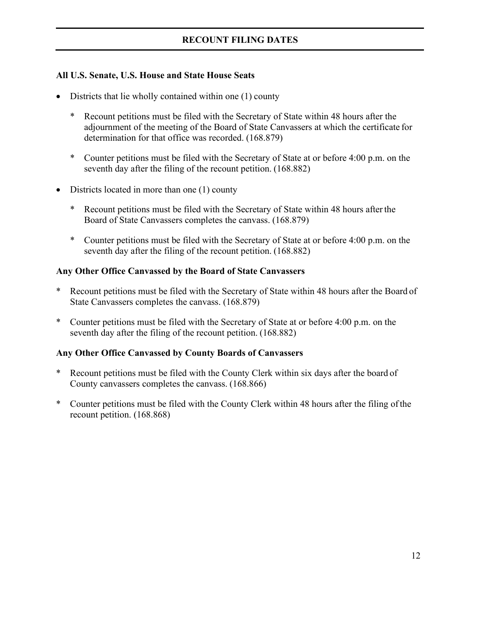#### **All U.S. Senate, U.S. House and State House Seats**

- Districts that lie wholly contained within one (1) county
	- Recount petitions must be filed with the Secretary of State within 48 hours after the adjournment of the meeting of the Board of State Canvassers at which the certificate for determination for that office was recorded. (168.879)
	- \* Counter petitions must be filed with the Secretary of State at or before 4:00 p.m. on the seventh day after the filing of the recount petition. (168.882)
- Districts located in more than one (1) county
	- Recount petitions must be filed with the Secretary of State within 48 hours after the Board of State Canvassers completes the canvass. (168.879)
	- \* Counter petitions must be filed with the Secretary of State at or before 4:00 p.m. on the seventh day after the filing of the recount petition. (168.882)

#### **Any Other Office Canvassed by the Board of State Canvassers**

- Recount petitions must be filed with the Secretary of State within 48 hours after the Board of State Canvassers completes the canvass. (168.879)
- \* Counter petitions must be filed with the Secretary of State at or before 4:00 p.m. on the seventh day after the filing of the recount petition. (168.882)

#### **Any Other Office Canvassed by County Boards of Canvassers**

- Recount petitions must be filed with the County Clerk within six days after the board of County canvassers completes the canvass. (168.866)
- \* Counter petitions must be filed with the County Clerk within 48 hours after the filing ofthe recount petition. (168.868)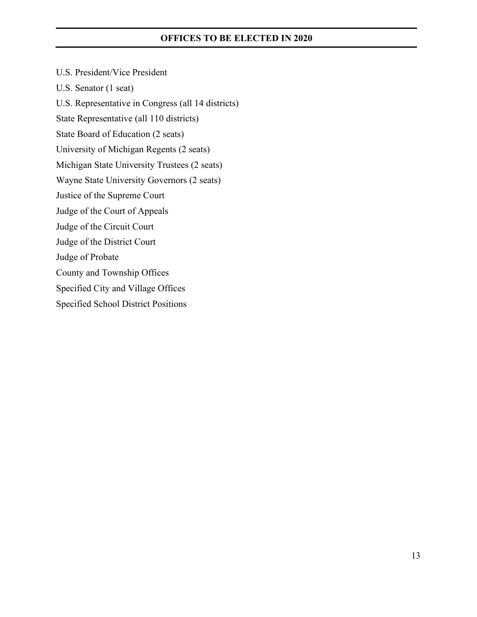#### **OFFICES TO BE ELECTED IN 2020**

U.S. President/Vice President U.S. Senator (1 seat) U.S. Representative in Congress (all 14 districts) State Representative (all 110 districts) State Board of Education (2 seats) University of Michigan Regents (2 seats) Michigan State University Trustees (2 seats) Wayne State University Governors (2 seats) Justice of the Supreme Court Judge of the Court of Appeals Judge of the Circuit Court Judge of the District Court Judge of Probate County and Township Offices Specified City and Village Offices Specified School District Positions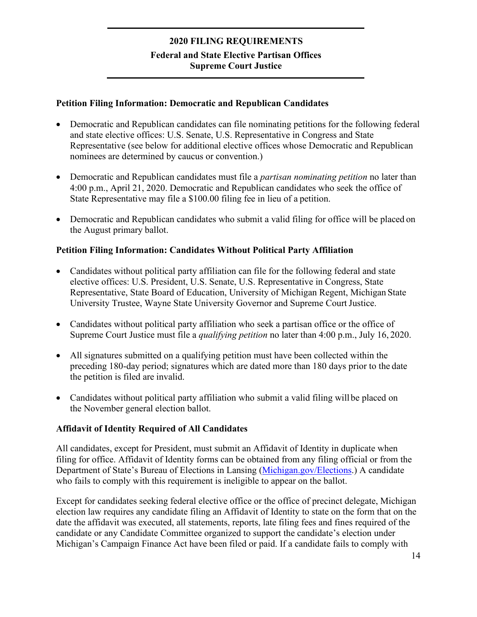## **2020 FILING REQUIREMENTS Federal and State Elective Partisan Offices Supreme Court Justice**

#### **Petition Filing Information: Democratic and Republican Candidates**

- Democratic and Republican candidates can file nominating petitions for the following federal and state elective offices: U.S. Senate, U.S. Representative in Congress and State Representative (see below for additional elective offices whose Democratic and Republican nominees are determined by caucus or convention.)
- Democratic and Republican candidates must file a *partisan nominating petition* no later than 4:00 p.m., April 21, 2020. Democratic and Republican candidates who seek the office of State Representative may file a \$100.00 filing fee in lieu of a petition.
- Democratic and Republican candidates who submit a valid filing for office will be placed on the August primary ballot.

#### **Petition Filing Information: Candidates Without Political Party Affiliation**

- Candidates without political party affiliation can file for the following federal and state elective offices: U.S. President, U.S. Senate, U.S. Representative in Congress, State Representative, State Board of Education, University of Michigan Regent, Michigan State University Trustee, Wayne State University Governor and Supreme CourtJustice.
- Candidates without political party affiliation who seek a partisan office or the office of Supreme Court Justice must file a *qualifying petition* no later than 4:00 p.m., July 16, 2020.
- All signatures submitted on a qualifying petition must have been collected within the preceding 180-day period; signatures which are dated more than 180 days prior to the date the petition is filed are invalid.
- Candidates without political party affiliation who submit a valid filing will be placed on the November general election ballot.

#### **Affidavit of Identity Required of All Candidates**

All candidates, except for President, must submit an Affidavit of Identity in duplicate when filing for office. Affidavit of Identity forms can be obtained from any filing official or from the Department of State's Bureau of Elections in Lansing [\(Michigan.gov/Elections.\)](http://www.michigan.gov/elections) A candidate who fails to comply with this requirement is ineligible to appear on the ballot.

Except for candidates seeking federal elective office or the office of precinct delegate, Michigan election law requires any candidate filing an Affidavit of Identity to state on the form that on the date the affidavit was executed, all statements, reports, late filing fees and fines required of the candidate or any Candidate Committee organized to support the candidate's election under Michigan's Campaign Finance Act have been filed or paid. If a candidate fails to comply with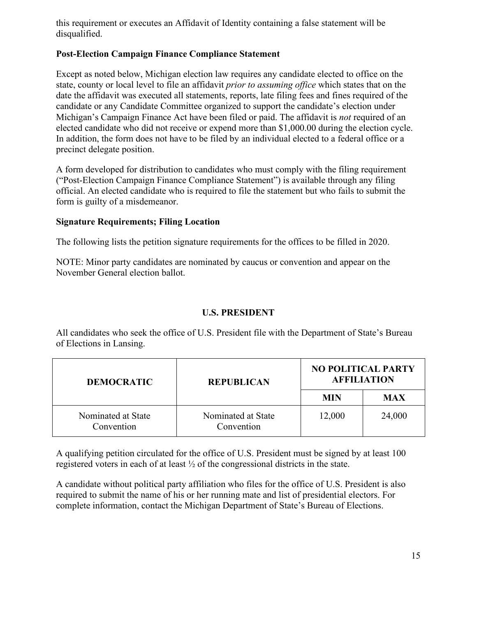this requirement or executes an Affidavit of Identity containing a false statement will be disqualified.

### **Post-Election Campaign Finance Compliance Statement**

Except as noted below, Michigan election law requires any candidate elected to office on the state, county or local level to file an affidavit *prior to assuming office* which states that on the date the affidavit was executed all statements, reports, late filing fees and fines required of the candidate or any Candidate Committee organized to support the candidate's election under Michigan's Campaign Finance Act have been filed or paid. The affidavit is *not* required of an elected candidate who did not receive or expend more than \$1,000.00 during the election cycle. In addition, the form does not have to be filed by an individual elected to a federal office or a precinct delegate position.

A form developed for distribution to candidates who must comply with the filing requirement ("Post-Election Campaign Finance Compliance Statement") is available through any filing official. An elected candidate who is required to file the statement but who fails to submit the form is guilty of a misdemeanor.

#### **Signature Requirements; Filing Location**

The following lists the petition signature requirements for the offices to be filled in 2020.

NOTE: Minor party candidates are nominated by caucus or convention and appear on the November General election ballot.

#### **U.S. PRESIDENT**

All candidates who seek the office of U.S. President file with the Department of State's Bureau of Elections in Lansing.

| <b>DEMOCRATIC</b>                | <b>REPUBLICAN</b>                |        | <b>NO POLITICAL PARTY</b><br><b>AFFILIATION</b> |  |
|----------------------------------|----------------------------------|--------|-------------------------------------------------|--|
|                                  | <b>MIN</b>                       |        | <b>MAX</b>                                      |  |
| Nominated at State<br>Convention | Nominated at State<br>Convention | 12,000 | 24,000                                          |  |

A qualifying petition circulated for the office of U.S. President must be signed by at least 100 registered voters in each of at least ½ of the congressional districts in the state.

A candidate without political party affiliation who files for the office of U.S. President is also required to submit the name of his or her running mate and list of presidential electors. For complete information, contact the Michigan Department of State's Bureau of Elections.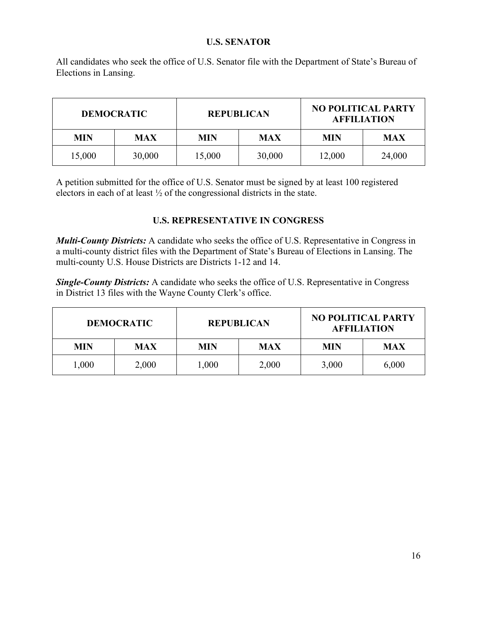#### **U.S. SENATOR**

All candidates who seek the office of U.S. Senator file with the Department of State's Bureau of Elections in Lansing.

| <b>DEMOCRATIC</b> |            |            | <b>REPUBLICAN</b> | <b>NO POLITICAL PARTY</b><br><b>AFFILIATION</b> |            |  |
|-------------------|------------|------------|-------------------|-------------------------------------------------|------------|--|
| <b>MIN</b>        | <b>MAX</b> | <b>MIN</b> | <b>MAX</b>        | MIN                                             | <b>MAX</b> |  |
| 15,000            | 30,000     | 15,000     | 30,000            | 12,000                                          | 24,000     |  |

A petition submitted for the office of U.S. Senator must be signed by at least 100 registered electors in each of at least ½ of the congressional districts in the state.

#### **U.S. REPRESENTATIVE IN CONGRESS**

*Multi-County Districts:* A candidate who seeks the office of U.S. Representative in Congress in a multi-county district files with the Department of State's Bureau of Elections in Lansing. The multi-county U.S. House Districts are Districts 1-12 and 14.

*Single-County Districts:* A candidate who seeks the office of U.S. Representative in Congress in District 13 files with the Wayne County Clerk's office.

| <b>DEMOCRATIC</b> |            |            | <b>REPUBLICAN</b> | <b>NO POLITICAL PARTY</b><br><b>AFFILIATION</b> |            |  |
|-------------------|------------|------------|-------------------|-------------------------------------------------|------------|--|
| <b>MIN</b>        | <b>MAX</b> | <b>MIN</b> | <b>MAX</b>        | MIN                                             | <b>MAX</b> |  |
| 1,000             | 2,000      | 1,000      | 2,000             | 3,000                                           | 6,000      |  |